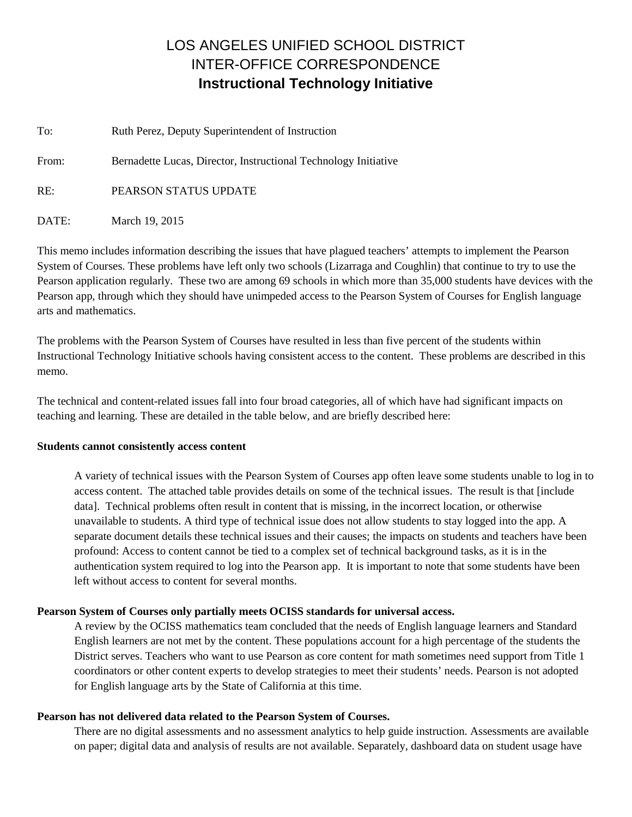# LOS ANGELES UNIFIED SCHOOL DISTRICT INTER-OFFICE CORRESPONDENCE **Instructional Technology Initiative**

| To:   | Ruth Perez, Deputy Superintendent of Instruction                |  |
|-------|-----------------------------------------------------------------|--|
| From: | Bernadette Lucas, Director, Instructional Technology Initiative |  |
| RE:   | PEARSON STATUS UPDATE                                           |  |
| DATE: | March 19, 2015                                                  |  |

This memo includes information describing the issues that have plagued teachers' attempts to implement the Pearson System of Courses. These problems have left only two schools (Lizarraga and Coughlin) that continue to try to use the Pearson application regularly. These two are among 69 schools in which more than 35,000 students have devices with the Pearson app, through which they should have unimpeded access to the Pearson System of Courses for English language arts and mathematics.

The problems with the Pearson System of Courses have resulted in less than five percent of the students within Instructional Technology Initiative schools having consistent access to the content. These problems are described in this memo.

The technical and content-related issues fall into four broad categories, all of which have had significant impacts on teaching and learning. These are detailed in the table below, and are briefly described here:

## **Students cannot consistently access content**

A variety of technical issues with the Pearson System of Courses app often leave some students unable to log in to access content. The attached table provides details on some of the technical issues. The result is that [include data]. Technical problems often result in content that is missing, in the incorrect location, or otherwise unavailable to students. A third type of technical issue does not allow students to stay logged into the app. A separate document details these technical issues and their causes; the impacts on students and teachers have been profound: Access to content cannot be tied to a complex set of technical background tasks, as it is in the authentication system required to log into the Pearson app. It is important to note that some students have been left without access to content for several months.

# **Pearson System of Courses only partially meets OCISS standards for universal access.**

A review by the OCISS mathematics team concluded that the needs of English language learners and Standard English learners are not met by the content. These populations account for a high percentage of the students the District serves. Teachers who want to use Pearson as core content for math sometimes need support from Title 1 coordinators or other content experts to develop strategies to meet their students' needs. Pearson is not adopted for English language arts by the State of California at this time.

## **Pearson has not delivered data related to the Pearson System of Courses.**

There are no digital assessments and no assessment analytics to help guide instruction. Assessments are available on paper; digital data and analysis of results are not available. Separately, dashboard data on student usage have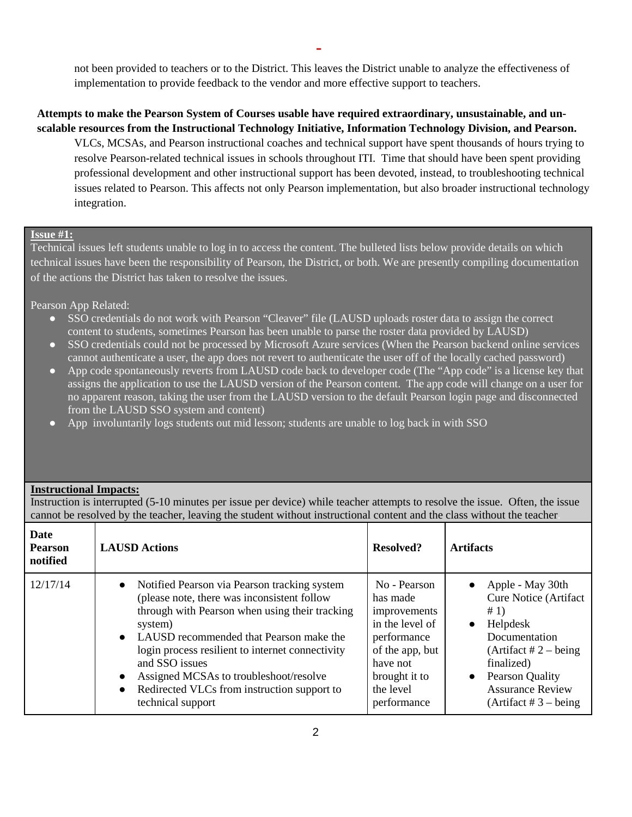-

not been provided to teachers or to the District. This leaves the District unable to analyze the effectiveness of implementation to provide feedback to the vendor and more effective support to teachers.

# **Attempts to make the Pearson System of Courses usable have required extraordinary, unsustainable, and unscalable resources from the Instructional Technology Initiative, Information Technology Division, and Pearson.**

VLCs, MCSAs, and Pearson instructional coaches and technical support have spent thousands of hours trying to resolve Pearson-related technical issues in schools throughout ITI. Time that should have been spent providing professional development and other instructional support has been devoted, instead, to troubleshooting technical issues related to Pearson. This affects not only Pearson implementation, but also broader instructional technology integration.

#### **Issue #1:**

Technical issues left students unable to log in to access the content. The bulleted lists below provide details on which technical issues have been the responsibility of Pearson, the District, or both. We are presently compiling documentation of the actions the District has taken to resolve the issues.

Pearson App Related:

- SSO credentials do not work with Pearson "Cleaver" file (LAUSD uploads roster data to assign the correct content to students, sometimes Pearson has been unable to parse the roster data provided by LAUSD)
- SSO credentials could not be processed by Microsoft Azure services (When the Pearson backend online services cannot authenticate a user, the app does not revert to authenticate the user off of the locally cached password)
- App code spontaneously reverts from LAUSD code back to developer code (The "App code" is a license key that assigns the application to use the LAUSD version of the Pearson content. The app code will change on a user for no apparent reason, taking the user from the LAUSD version to the default Pearson login page and disconnected from the LAUSD SSO system and content)
- App involuntarily logs students out mid lesson; students are unable to log back in with SSO

## **Instructional Impacts:**

Instruction is interrupted (5-10 minutes per issue per device) while teacher attempts to resolve the issue. Often, the issue cannot be resolved by the teacher, leaving the student without instructional content and the class without the teacher.

| Date<br><b>Pearson</b><br>notified | <b>LAUSD Actions</b>                                                                                                                                                                                                                                                                                                                                                                                                                        | Resolved?                                                                                                                                              | <b>Artifacts</b>                                                                                                                                                                                                                     |
|------------------------------------|---------------------------------------------------------------------------------------------------------------------------------------------------------------------------------------------------------------------------------------------------------------------------------------------------------------------------------------------------------------------------------------------------------------------------------------------|--------------------------------------------------------------------------------------------------------------------------------------------------------|--------------------------------------------------------------------------------------------------------------------------------------------------------------------------------------------------------------------------------------|
| 12/17/14                           | Notified Pearson via Pearson tracking system<br>$\bullet$<br>(please note, there was inconsistent follow<br>through with Pearson when using their tracking<br>system)<br>LAUSD recommended that Pearson make the<br>$\bullet$<br>login process resilient to internet connectivity<br>and SSO issues<br>Assigned MCSAs to troubleshoot/resolve<br>$\bullet$<br>Redirected VLCs from instruction support to<br>$\bullet$<br>technical support | No - Pearson<br>has made<br>improvements<br>in the level of<br>performance<br>of the app, but<br>have not<br>brought it to<br>the level<br>performance | • Apple - May 30th<br><b>Cure Notice (Artifact</b><br>#1)<br>Helpdesk<br>$\bullet$<br>Documentation<br>(Artifact $# 2$ – being<br>finalized)<br>Pearson Quality<br>$\bullet$<br><b>Assurance Review</b><br>(Artifact $# 3 - being$ ) |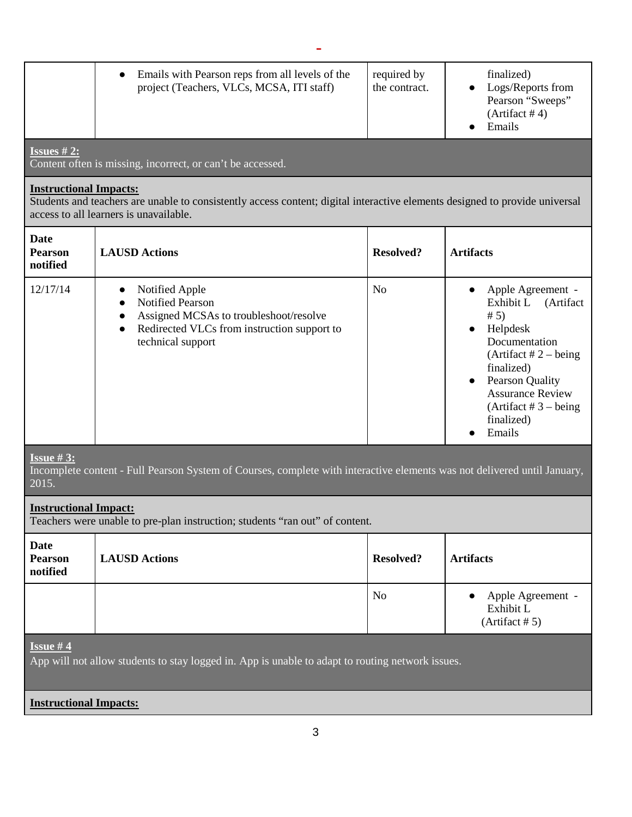|                                                                                                                                                       | Emails with Pearson reps from all levels of the<br>$\bullet$<br>project (Teachers, VLCs, MCSA, ITI staff)                                                                                      | required by<br>the contract. | finalized)<br>Logs/Reports from<br>Pearson "Sweeps"<br>(Artifact #4)<br>Emails                                                                                                                                                 |
|-------------------------------------------------------------------------------------------------------------------------------------------------------|------------------------------------------------------------------------------------------------------------------------------------------------------------------------------------------------|------------------------------|--------------------------------------------------------------------------------------------------------------------------------------------------------------------------------------------------------------------------------|
| <b>Issues #2:</b>                                                                                                                                     | Content often is missing, incorrect, or can't be accessed.                                                                                                                                     |                              |                                                                                                                                                                                                                                |
| <b>Instructional Impacts:</b>                                                                                                                         | Students and teachers are unable to consistently access content; digital interactive elements designed to provide universal<br>access to all learners is unavailable.                          |                              |                                                                                                                                                                                                                                |
| Date<br><b>Pearson</b><br>notified                                                                                                                    | <b>LAUSD Actions</b>                                                                                                                                                                           | <b>Resolved?</b>             | <b>Artifacts</b>                                                                                                                                                                                                               |
| 12/17/14                                                                                                                                              | Notified Apple<br>$\bullet$<br><b>Notified Pearson</b><br>$\bullet$<br>Assigned MCSAs to troubleshoot/resolve<br>Redirected VLCs from instruction support to<br>$\bullet$<br>technical support | N <sub>o</sub>               | Apple Agreement -<br>Exhibit L<br>(Artifact<br># 5)<br>Helpdesk<br>Documentation<br>(Artifact $# 2 - being$ )<br>finalized)<br>• Pearson Quality<br><b>Assurance Review</b><br>(Artifact $# 3 - being$<br>finalized)<br>Emails |
| <b>Issue #3:</b><br>Incomplete content - Full Pearson System of Courses, complete with interactive elements was not delivered until January,<br>2015. |                                                                                                                                                                                                |                              |                                                                                                                                                                                                                                |
| <b>Instructional Impact:</b><br>Teachers were unable to pre-plan instruction; students "ran out" of content.                                          |                                                                                                                                                                                                |                              |                                                                                                                                                                                                                                |
| Date<br><b>Pearson</b><br>notified                                                                                                                    | <b>LAUSD Actions</b>                                                                                                                                                                           | <b>Resolved?</b>             | <b>Artifacts</b>                                                                                                                                                                                                               |
|                                                                                                                                                       |                                                                                                                                                                                                | N <sub>o</sub>               | Apple Agreement -<br>Exhibit L<br>(Artifact # 5)                                                                                                                                                                               |
| <b>Issue #4</b><br>App will not allow students to stay logged in. App is unable to adapt to routing network issues.                                   |                                                                                                                                                                                                |                              |                                                                                                                                                                                                                                |
| <b>Instructional Impacts:</b>                                                                                                                         |                                                                                                                                                                                                |                              |                                                                                                                                                                                                                                |
|                                                                                                                                                       |                                                                                                                                                                                                |                              |                                                                                                                                                                                                                                |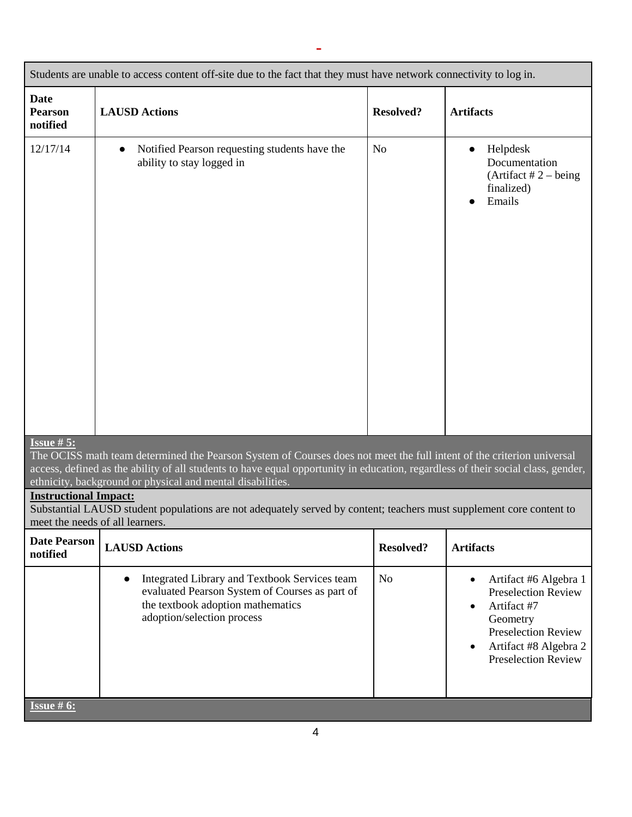| Students are unable to access content off-site due to the fact that they must have network connectivity to log in.                                                                                                                                                                                                                          |                                                                                                                                                                                 |                  |                                                                                                                                                                                  |
|---------------------------------------------------------------------------------------------------------------------------------------------------------------------------------------------------------------------------------------------------------------------------------------------------------------------------------------------|---------------------------------------------------------------------------------------------------------------------------------------------------------------------------------|------------------|----------------------------------------------------------------------------------------------------------------------------------------------------------------------------------|
| <b>Date</b><br><b>Pearson</b><br>notified                                                                                                                                                                                                                                                                                                   | <b>LAUSD Actions</b>                                                                                                                                                            | <b>Resolved?</b> | <b>Artifacts</b>                                                                                                                                                                 |
| 12/17/14                                                                                                                                                                                                                                                                                                                                    | Notified Pearson requesting students have the<br>$\bullet$<br>ability to stay logged in                                                                                         | N <sub>o</sub>   | Helpdesk<br>Documentation<br>(Artifact $# 2 - being$ )<br>finalized)<br>Emails                                                                                                   |
| <b>Issue #5:</b><br>The OCISS math team determined the Pearson System of Courses does not meet the full intent of the criterion universal<br>access, defined as the ability of all students to have equal opportunity in education, regardless of their social class, gender,<br>ethnicity, background or physical and mental disabilities. |                                                                                                                                                                                 |                  |                                                                                                                                                                                  |
| <b>Instructional Impact:</b><br>Substantial LAUSD student populations are not adequately served by content; teachers must supplement core content to<br>meet the needs of all learners.                                                                                                                                                     |                                                                                                                                                                                 |                  |                                                                                                                                                                                  |
| <b>Date Pearson</b><br>notified                                                                                                                                                                                                                                                                                                             | <b>LAUSD Actions</b>                                                                                                                                                            | <b>Resolved?</b> | <b>Artifacts</b>                                                                                                                                                                 |
|                                                                                                                                                                                                                                                                                                                                             | Integrated Library and Textbook Services team<br>$\bullet$<br>evaluated Pearson System of Courses as part of<br>the textbook adoption mathematics<br>adoption/selection process | N <sub>o</sub>   | Artifact #6 Algebra 1<br>$\bullet$<br><b>Preselection Review</b><br>Artifact #7<br>Geometry<br><b>Preselection Review</b><br>Artifact #8 Algebra 2<br><b>Preselection Review</b> |
| <b>Issue #6:</b>                                                                                                                                                                                                                                                                                                                            |                                                                                                                                                                                 |                  |                                                                                                                                                                                  |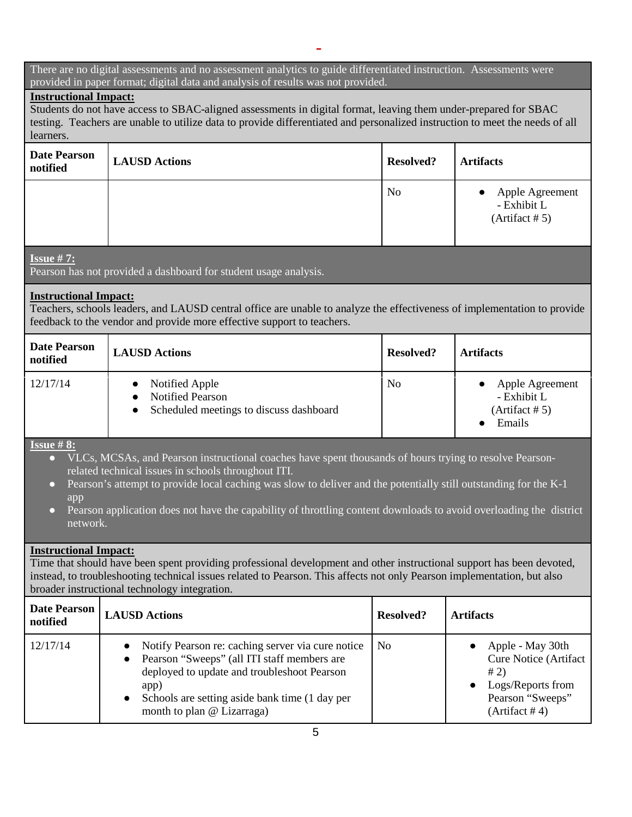#### There are no digital assessments and no assessment analytics to guide differentiated instruction. Assessments were provided in paper format; digital data and analysis of results was not provided.

# **Instructional Impact:**

Students do not have access to SBAC-aligned assessments in digital format, leaving them under-prepared for SBAC testing. Teachers are unable to utilize data to provide differentiated and personalized instruction to meet the needs of all learners.

| <b>Date Pearson</b><br>notified | <b>LAUSD Actions</b> | <b>Resolved?</b> | <b>Artifacts</b>                                              |
|---------------------------------|----------------------|------------------|---------------------------------------------------------------|
|                                 |                      | N <sub>o</sub>   | Apple Agreement<br>$\bullet$<br>- Exhibit L<br>(Artifact # 5) |
| <b>Issue #7:</b>                |                      |                  |                                                               |

Pearson has not provided a dashboard for student usage analysis.

## **Instructional Impact:**

Teachers, schools leaders, and LAUSD central office are unable to analyze the effectiveness of implementation to provide feedback to the vendor and provide more effective support to teachers.

| <b>Date Pearson</b><br>notified | <b>LAUSD Actions</b>                                                                                           | <b>Resolved?</b> | <b>Artifacts</b>                                           |
|---------------------------------|----------------------------------------------------------------------------------------------------------------|------------------|------------------------------------------------------------|
| 12/17/14                        | Notified Apple<br>$\bullet$<br><b>Notified Pearson</b><br>Scheduled meetings to discuss dashboard<br>$\bullet$ | N <sub>0</sub>   | Apple Agreement<br>- Exhibit L<br>(Artifact # 5)<br>Emails |

# **Issue # 8:**

- VLCs, MCSAs, and Pearson instructional coaches have spent thousands of hours trying to resolve Pearsonrelated technical issues in schools throughout ITI.
- Pearson's attempt to provide local caching was slow to deliver and the potentially still outstanding for the K-1 app
- Pearson application does not have the capability of throttling content downloads to avoid overloading the district network.

## **Instructional Impact:**

Time that should have been spent providing professional development and other instructional support has been devoted, instead, to troubleshooting technical issues related to Pearson. This affects not only Pearson implementation, but also broader instructional technology integration.

| <b>Date Pearson</b><br>notified | <b>LAUSD Actions</b>                                                                                                                                                                                                                                              | Resolved?      | <b>Artifacts</b>                                                                                                    |
|---------------------------------|-------------------------------------------------------------------------------------------------------------------------------------------------------------------------------------------------------------------------------------------------------------------|----------------|---------------------------------------------------------------------------------------------------------------------|
| 12/17/14                        | Notify Pearson re: caching server via cure notice<br>$\bullet$<br>Pearson "Sweeps" (all ITI staff members are<br>$\bullet$<br>deployed to update and troubleshoot Pearson<br>app)<br>Schools are setting aside bank time (1 day per<br>month to plan @ Lizarraga) | N <sub>0</sub> | Apple - May 30th<br><b>Cure Notice (Artifact</b><br># 2)<br>Logs/Reports from<br>Pearson "Sweeps"<br>(Artifact # 4) |